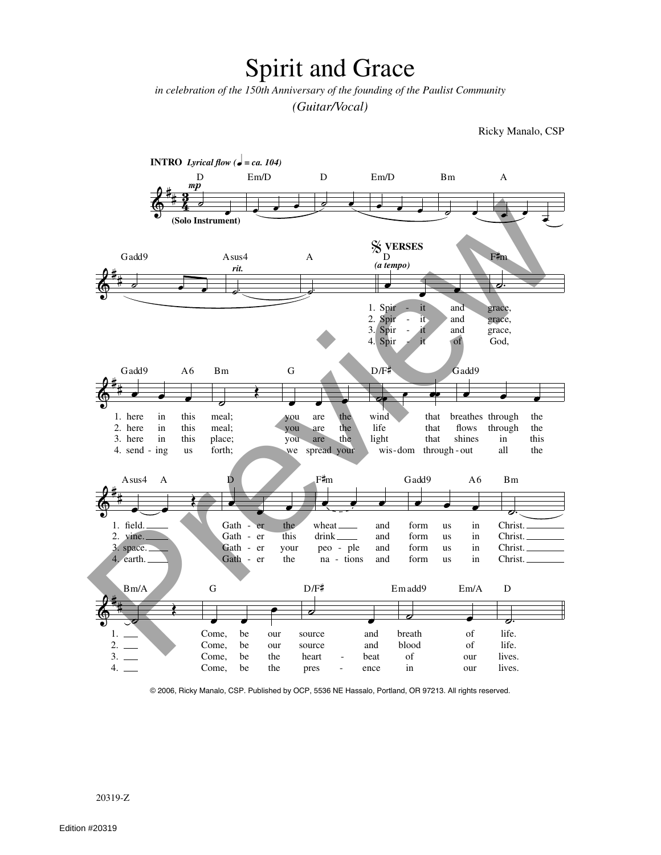## **Spirit and Grace**

in celebration of the 150th Anniversary of the founding of the Paulist Community (Guitar/Vocal)

Ricky Manalo, CSP



© 2006, Ricky Manalo, CSP. Published by OCP, 5536 NE Hassalo, Portland, OR 97213. All rights reserved.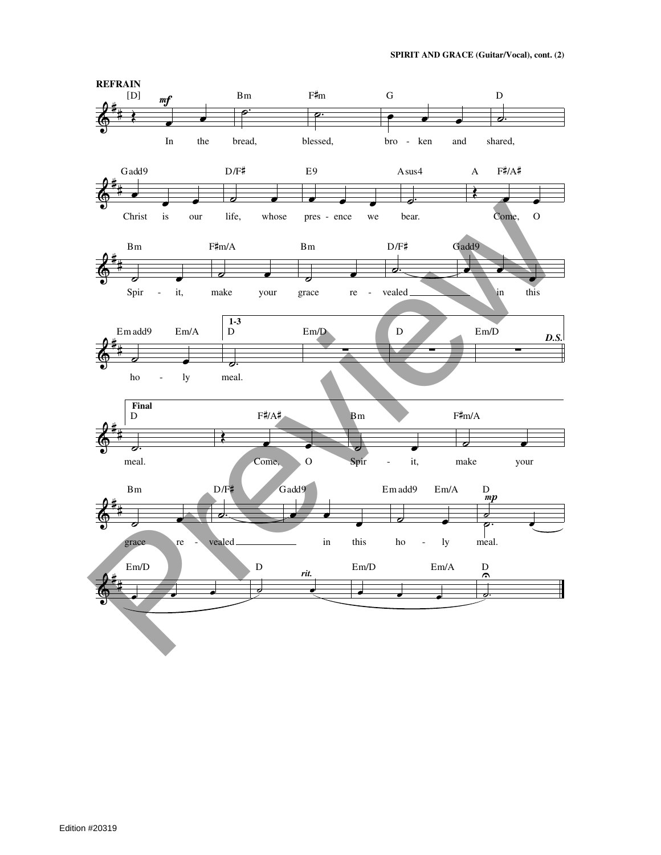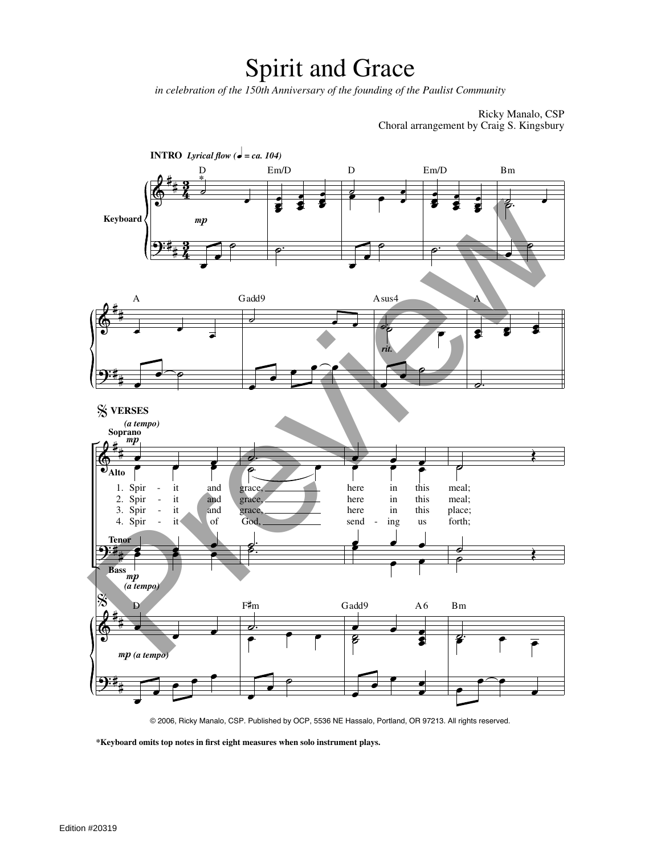## Spirit and Grace

*in celebration of the 150th Anniversary of the founding of the Paulist Community*

Ricky Manalo, CSP Choral arrangement by Craig S. Kingsbury



© 2006, Ricky Manalo, CSP. Published by OCP, 5536 NE Hassalo, Portland, OR 97213. All rights reserved.

**\*Keyboard omits top notes in first eight measures when solo instrument plays.**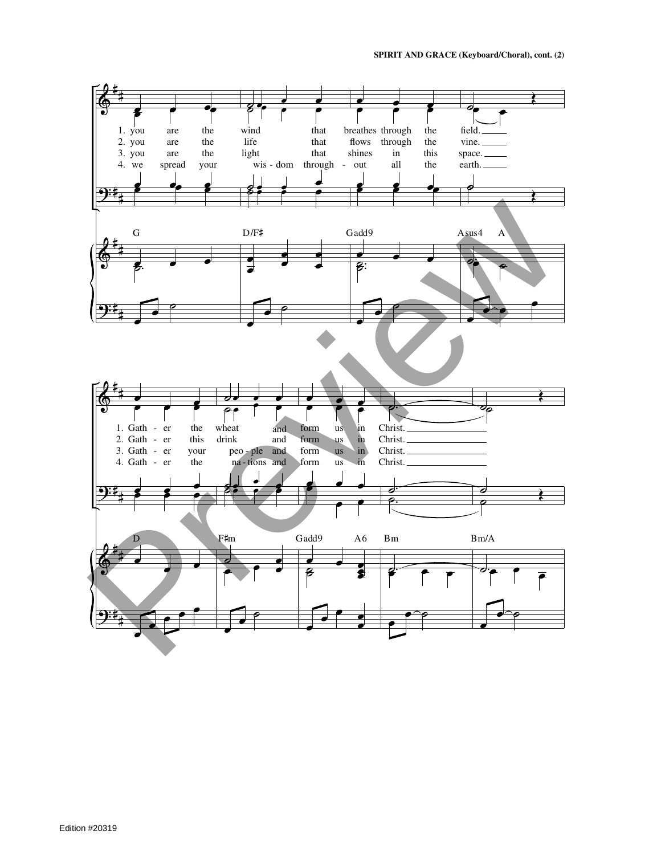**SPIRIT AND GRACE (Keyboard/Choral), cont. (2)**

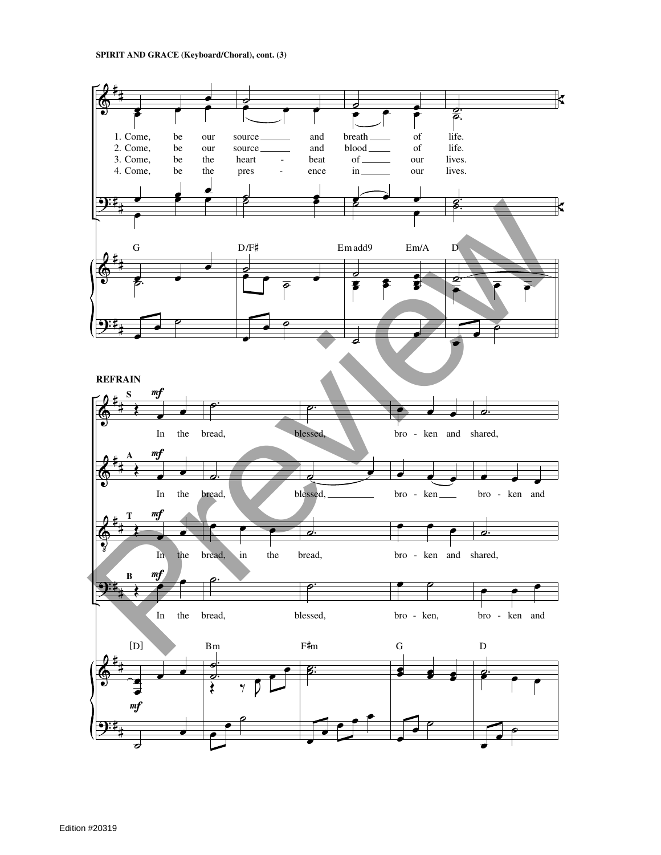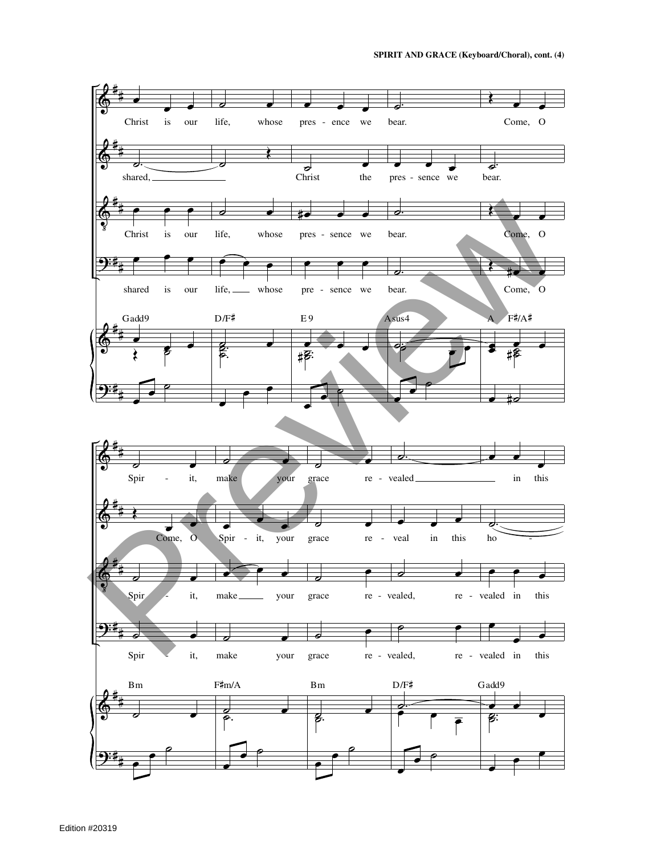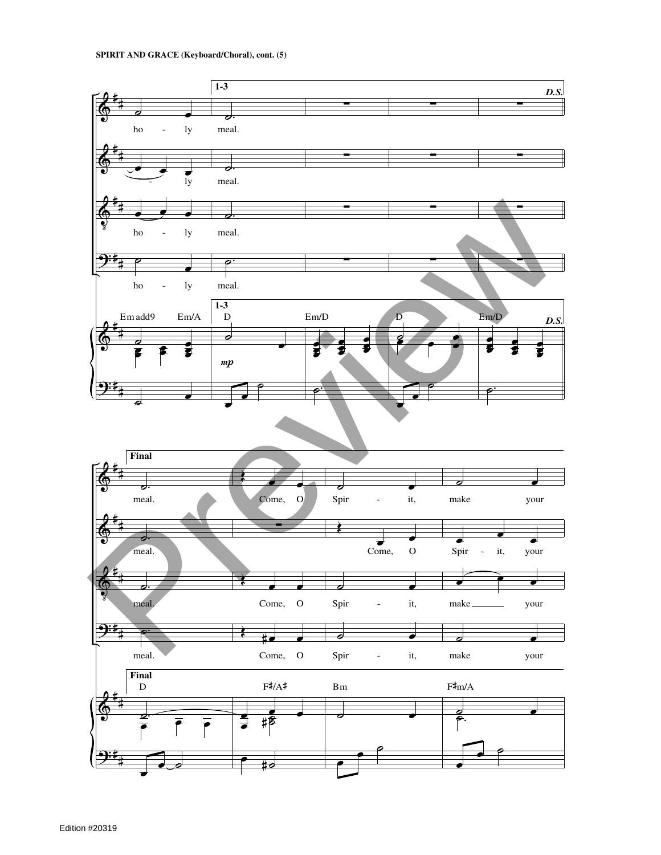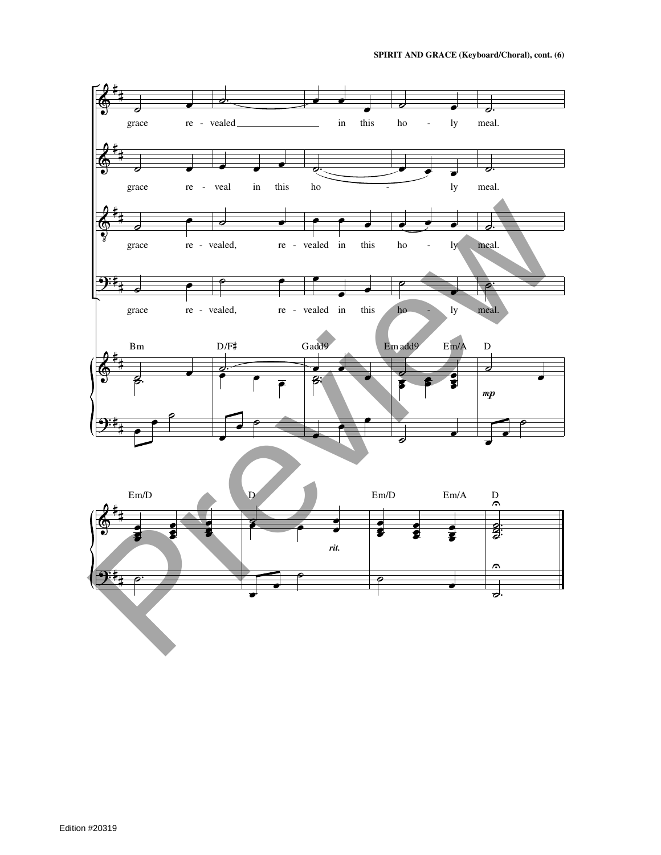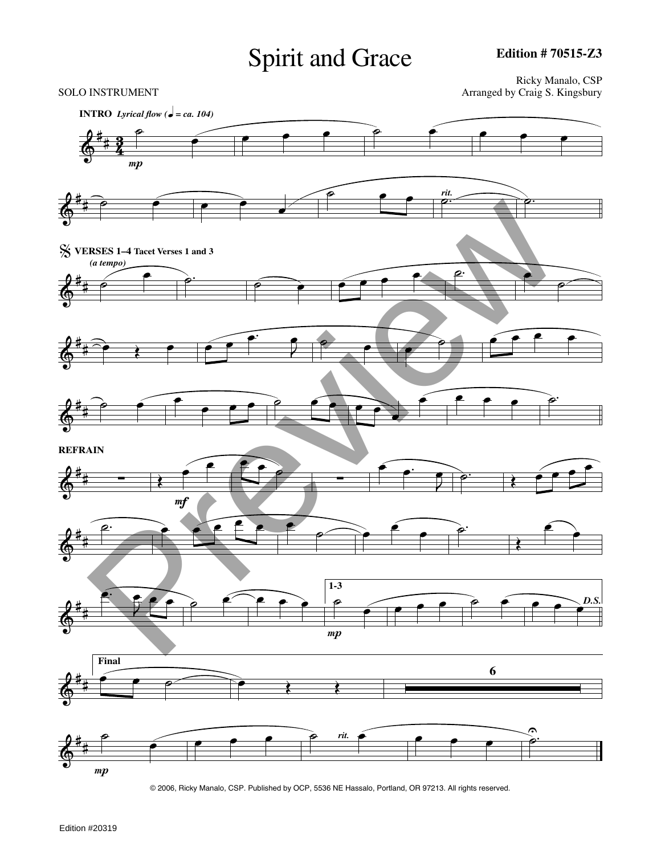## Spirit and Grace

 $\oint_0^4$  $+2$  $\frac{5}{4}$ **INTRO** Lyrical flow ( $\bullet$  = ca. 104) ˙  $\boldsymbol{m}$  $\bullet$   $\bullet$   $\bullet$   $\bullet$   $\bullet$   $\bullet$   $\bullet$  $\oint$ # ˙ œ œ œ œ  $\overline{\phantom{a}}$ *rit.*  $\overline{\phantom{a}}$  $\oint_0^4$ # % **VERSES 1–4 Tacet Verses 1 and 3** *(a tempo)* ˙ <u></u>  $\blacksquare$  $\oint_0^4$  $\overrightarrow{a}$  $\overrightarrow{)}$  $\frac{1}{2}$  $\bullet$   $\bullet$   $\bullet$   $\bullet$   $\bullet$   $\bullet$  $\oint_0^4$  $\begin{array}{c} \begin{array}{c} \bullet \\ \end{array} \end{array}$  $\bullet$  ₾ ₾ ₾ ₾ ₾ ₾ œ œ œ œ œ ˙.  $\oint_0^4$ # **REFRAIN** ∑  $\frac{1}{\sqrt{2}}$ Œ <sup>œ</sup>  $\frac{1}{2}$ œ . ˙ Œ <sup>œ</sup> <sup>œ</sup> <sup>œ</sup> <sup>œ</sup>  $\oint_0^4$ #  $\frac{a}{c}$ œ  $\begin{array}{c} \bullet \\ \bullet \\ \bullet \end{array}$ œ œ  $\oint_0^4$ #  $\Rightarrow$ œ œ œ ˙ œ œ œ œ  $\boldsymbol{m}$ **1-3** ˙  $\bullet$   $\bullet$   $\bullet$   $\bullet$   $\bullet$   $\bullet$ *D.S.* œ  $\oint_0^4$ # **Final**  $\begin{array}{c} \begin{array}{c} \bullet \end{array} & \bullet \end{array}$ **6**  $\oint_0^4$ #  $\boldsymbol{m}$ ˙ œ <sup>œ</sup> <sup>œ</sup> <sup>œ</sup> ˙ *rit.* <sup>œ</sup> <sup>œ</sup> <sup>œ</sup> <sup>œ</sup> ˙. <sup>U</sup> Ricky Manalo, CSP SOLO INSTRUMENT **Arranged** by Craig S. Kingsbury Preview

© 2006, Ricky Manalo, CSP. Published by OCP, 5536 NE Hassalo, Portland, OR 97213. All rights reserved.